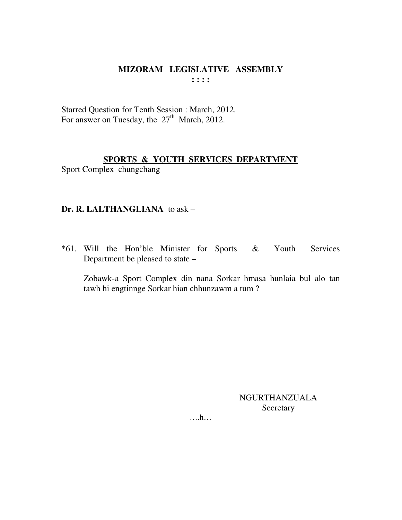Starred Question for Tenth Session : March, 2012. For answer on Tuesday, the 27<sup>th</sup> March, 2012.

# **SPORTS & YOUTH SERVICES DEPARTMENT**

Sport Complex chungchang

# Dr. R. LALTHANGLIANA to ask -

\*61. Will the Hon'ble Minister for Sports & Youth Services Department be pleased to state -

Zobawk-a Sport Complex din nana Sorkar hmasa hunlaia bul alo tan tawh hi engtinnge Sorkar hian chhunzawm a tum?

> **NGURTHANZUALA** Secretary

 $\dots$ ...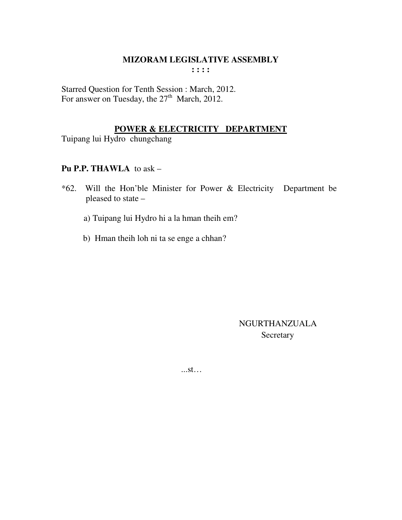Starred Question for Tenth Session : March, 2012. For answer on Tuesday, the 27<sup>th</sup> March, 2012.

# POWER & ELECTRICITY DEPARTMENT

Tuipang lui Hydro chungchang

# Pu P.P. THAWLA to ask -

- \*62. Will the Hon'ble Minister for Power & Electricity Department be pleased to state
	- a) Tuipang lui Hydro hi a la hman theih em?
	- b) Hman theih loh ni ta se enge a chhan?

NGURTHANZUALA Secretary

 $...st...$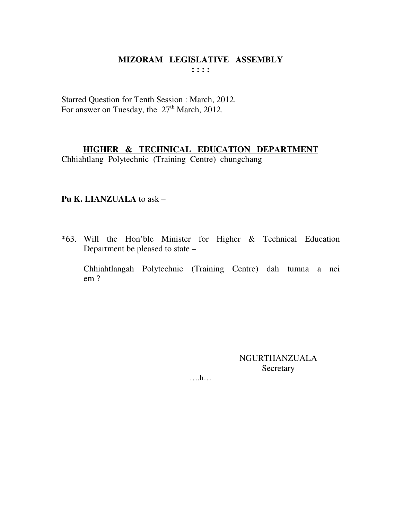Starred Question for Tenth Session : March, 2012. For answer on Tuesday, the 27<sup>th</sup> March, 2012.

# HIGHER & TECHNICAL EDUCATION DEPARTMENT

Chhiahtlang Polytechnic (Training Centre) chungchang

# Pu K. LIANZUALA to ask -

\*63. Will the Hon'ble Minister for Higher & Technical Education Department be pleased to state –

Chhiahtlangah Polytechnic (Training Centre) dah tumna a nei  $em?$ 

> **NGURTHANZUALA** Secretary

 $\dots$   $h$ ...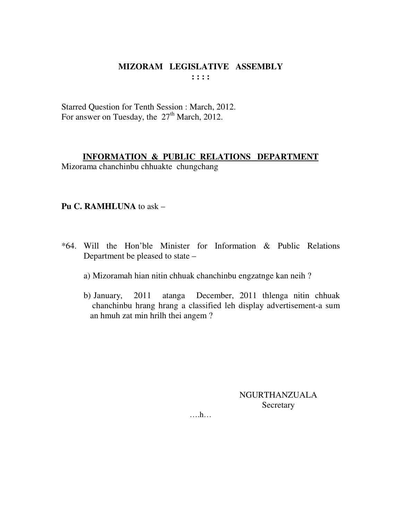Starred Question for Tenth Session : March, 2012. For answer on Tuesday, the  $27<sup>th</sup>$  March, 2012.

# **INFORMATION & PUBLIC RELATIONS DEPARTMENT**

Mizorama chanchinbu chhuakte chungchang

# **Pu C. RAMHLUNA** to ask –

- \*64. Will the Hon'ble Minister for Information & Public Relations Department be pleased to state –
	- a) Mizoramah hian nitin chhuak chanchinbu engzatnge kan neih ?
	- b) January, 2011 atanga December, 2011 thlenga nitin chhuak chanchinbu hrang hrang a classified leh display advertisement-a sum an hmuh zat min hrilh thei angem ?

NGURTHANZUALA Secretary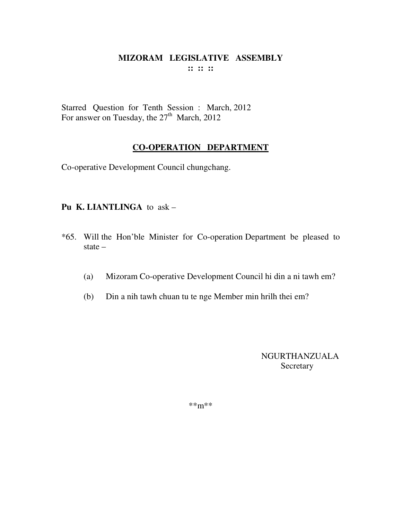Starred Question for Tenth Session : March, 2012 For answer on Tuesday, the  $27<sup>th</sup>$  March, 2012

# **CO-OPERATION DEPARTMENT**

Co-operative Development Council chungchang.

# **Pu K. LIANTLINGA** to ask –

- \*65. Will the Hon'ble Minister for Co-operation Department be pleased to state –
	- (a) Mizoram Co-operative Development Council hi din a ni tawh em?
	- (b) Din a nih tawh chuan tu te nge Member min hrilh thei em?

NGURTHANZUALA Secretary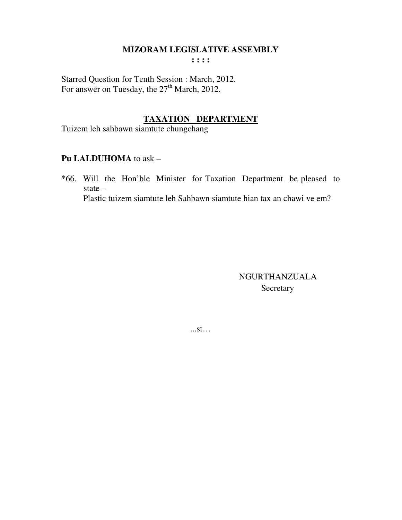#### **MIZORAM LEGISLATIVE ASSEMBLY**

**: : : :** 

Starred Question for Tenth Session : March, 2012. For answer on Tuesday, the  $27<sup>th</sup>$  March, 2012.

# **TAXATION DEPARTMENT**

Tuizem leh sahbawn siamtute chungchang

#### **Pu LALDUHOMA** to ask –

\*66. Will the Hon'ble Minister for Taxation Department be pleased to state – Plastic tuizem siamtute leh Sahbawn siamtute hian tax an chawi ve em?

> NGURTHANZUALA Secretary

...st…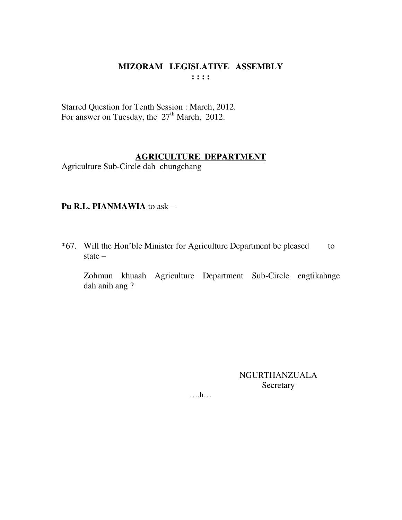### MIZORAM LEGISLATIVE ASSEMBLY  $1:1:1$

Starred Question for Tenth Session : March, 2012.<br>For answer on Tuesday, the 27<sup>th</sup> March, 2012.

# **AGRICULTURE DEPARTMENT**

Agriculture Sub-Circle dah chungchang

# Pu R.L. PIANMAWIA to ask -

\*67. Will the Hon'ble Minister for Agriculture Department be pleased to state  $-$ 

Zohmun khuaah Agriculture Department Sub-Circle engtikahnge dah anih ang?

> NGURTHANZUALA Secretary

 $\dots$ ...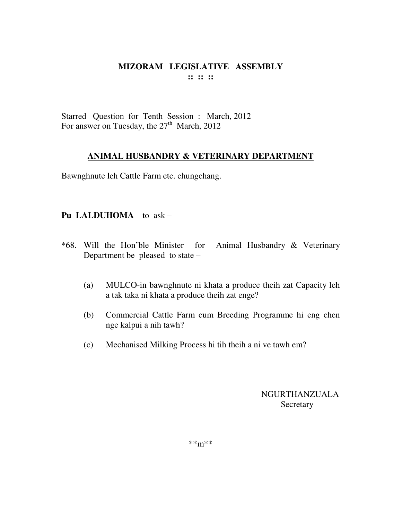Starred Question for Tenth Session : March, 2012 For answer on Tuesday, the  $27<sup>th</sup>$  March, 2012

### **ANIMAL HUSBANDRY & VETERINARY DEPARTMENT**

Bawnghnute leh Cattle Farm etc. chungchang.

### **Pu LALDUHOMA** to ask –

- \*68. Will the Hon'ble Minister for Animal Husbandry & Veterinary Department be pleased to state –
	- (a) MULCO-in bawnghnute ni khata a produce theih zat Capacity leh a tak taka ni khata a produce theih zat enge?
	- (b) Commercial Cattle Farm cum Breeding Programme hi eng chen nge kalpui a nih tawh?
	- (c) Mechanised Milking Process hi tih theih a ni ve tawh em?

NGURTHANZUALA Secretary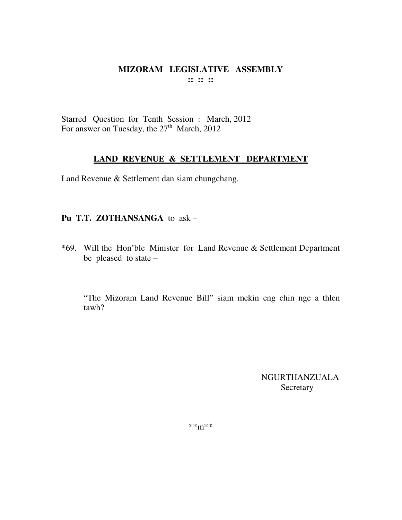Starred Question for Tenth Session : March, 2012 For answer on Tuesday, the  $27<sup>th</sup>$  March, 2012

### **LAND REVENUE & SETTLEMENT DEPARTMENT**

Land Revenue & Settlement dan siam chungchang.

# **Pu T.T. ZOTHANSANGA** to ask –

\*69. Will the Hon'ble Minister for Land Revenue & Settlement Department be pleased to state –

"The Mizoram Land Revenue Bill" siam mekin eng chin nge a thlen tawh?

> NGURTHANZUALA Secretary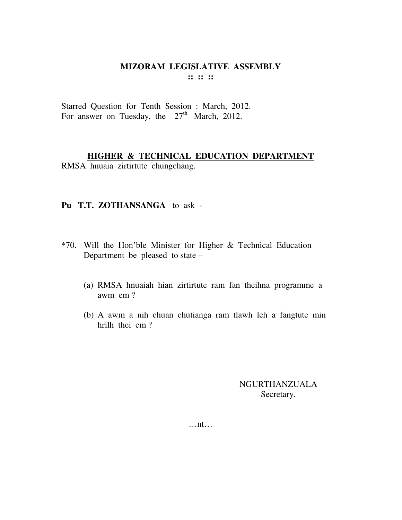Starred Question for Tenth Session : March, 2012. For answer on Tuesday, the  $27<sup>th</sup>$  March, 2012.

#### **HIGHER & TECHNICAL EDUCATION DEPARTMENT** RMSA hnuaia zirtirtute chungchang.

#### **Pu T.T. ZOTHANSANGA** to ask -

- \*70. Will the Hon'ble Minister for Higher & Technical Education Department be pleased to state –
	- (a) RMSA hnuaiah hian zirtirtute ram fan theihna programme a awm em ?
	- (b) A awm a nih chuan chutianga ram tlawh leh a fangtute min hrilh thei em ?

NGURTHANZUALA Secretary.

…nt…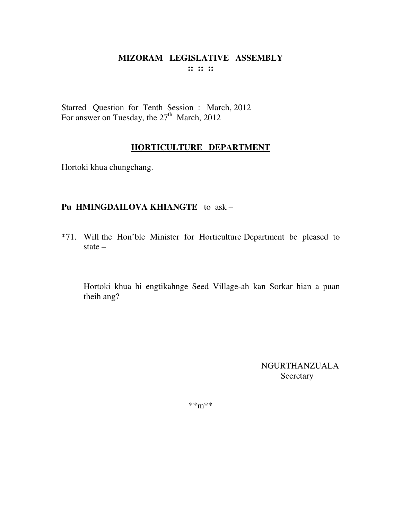Starred Question for Tenth Session : March, 2012 For answer on Tuesday, the 27<sup>th</sup> March, 2012

# **HORTICULTURE DEPARTMENT**

Hortoki khua chungchang.

# **Pu HMINGDAILOVA KHIANGTE** to ask –

\*71. Will the Hon'ble Minister for Horticulture Department be pleased to state –

Hortoki khua hi engtikahnge Seed Village-ah kan Sorkar hian a puan theih ang?

> NGURTHANZUALA **Secretary**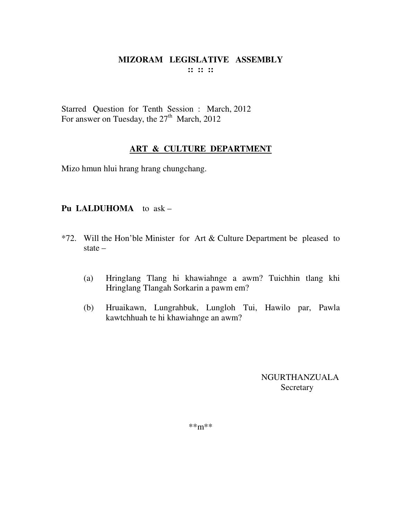Starred Question for Tenth Session : March, 2012 For answer on Tuesday, the  $27<sup>th</sup>$  March, 2012

# **ART & CULTURE DEPARTMENT**

Mizo hmun hlui hrang hrang chungchang.

# **Pu LALDUHOMA** to ask –

- \*72. Will the Hon'ble Minister for Art & Culture Department be pleased to state –
	- (a) Hringlang Tlang hi khawiahnge a awm? Tuichhin tlang khi Hringlang Tlangah Sorkarin a pawm em?
	- (b) Hruaikawn, Lungrahbuk, Lungloh Tui, Hawilo par, Pawla kawtchhuah te hi khawiahnge an awm?

NGURTHANZUALA **Secretary**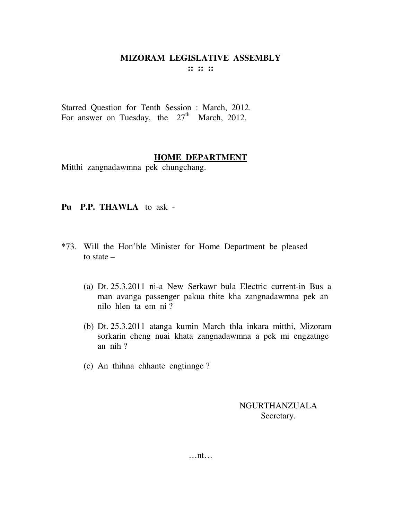Starred Question for Tenth Session : March, 2012. For answer on Tuesday, the  $27<sup>th</sup>$  March, 2012.

#### **HOME DEPARTMENT**

Mitthi zangnadawmna pek chungchang.

#### **Pu P.P. THAWLA** to ask -

- \*73. Will the Hon'ble Minister for Home Department be pleased to state –
	- (a) Dt. 25.3.2011 ni-a New Serkawr bula Electric current-in Bus a man avanga passenger pakua thite kha zangnadawmna pek an nilo hlen ta em ni ?
	- (b) Dt. 25.3.2011 atanga kumin March thla inkara mitthi, Mizoram sorkarin cheng nuai khata zangnadawmna a pek mi engzatnge an nih ?
	- (c) An thihna chhante engtinnge ?

NGURTHANZUALA Secretary.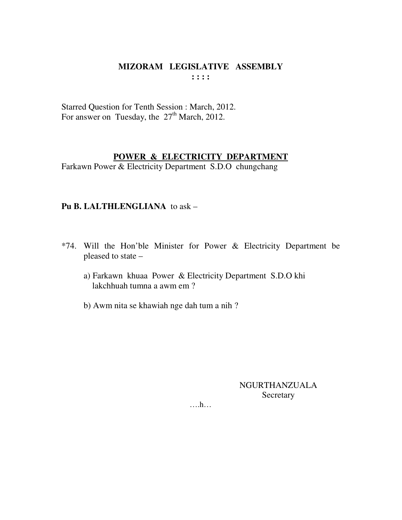### MIZORAM LEGISLATIVE ASSEMBLY  $\mathbf{1}$   $\mathbf{1}$   $\mathbf{1}$   $\mathbf{1}$

Starred Question for Tenth Session : March, 2012. For answer on Tuesday, the  $27<sup>th</sup>$  March, 2012.

# POWER & ELECTRICITY DEPARTMENT

Farkawn Power & Electricity Department S.D.O chungchang

# Pu B. LALTHLENGLIANA to ask -

- \*74. Will the Hon'ble Minister for Power & Electricity Department be pleased to state
	- a) Farkawn khuaa Power & Electricity Department S.D.O khi lakchhuah tumna a awm em?
	- b) Awm nita se khawiah nge dah tum a nih?

# NGURTHANZUALA Secretary

 $\dots$ ...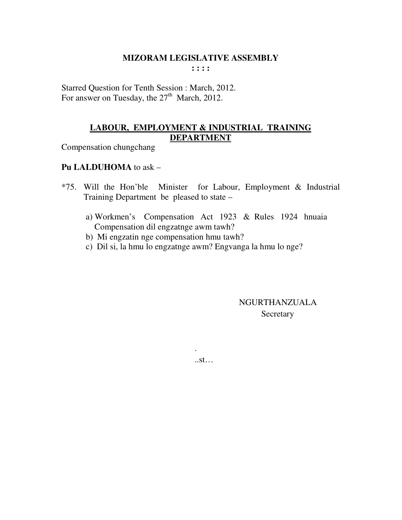Starred Question for Tenth Session : March, 2012. For answer on Tuesday, the  $27<sup>th</sup>$  March, 2012.

# LABOUR, EMPLOYMENT & INDUSTRIAL TRAINING **DEPARTMENT**

Compensation chungchang

# Pu LALDUHOMA to ask -

- \*75. Will the Hon'ble Minister for Labour, Employment & Industrial Training Department be pleased to state –
	- a) Workmen's Compensation Act 1923 & Rules 1924 hnuaia Compensation dil engzatnge awm tawh?
	- b) Mi engzatin nge compensation hmu tawh?
	- c) Dil si, la hmu lo engzatnge awm? Engvanga la hmu lo nge?

NGURTHANZUALA Secretary

 $..st...$ 

 $\ddot{\phantom{a}}$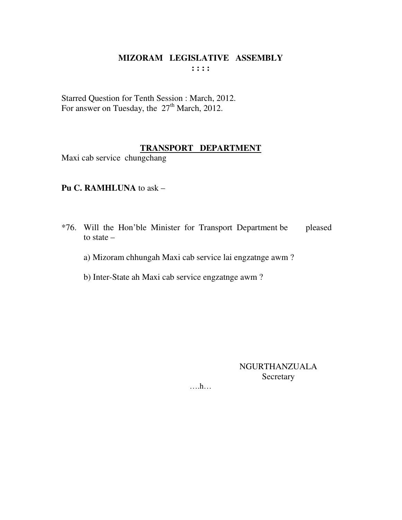Starred Question for Tenth Session : March, 2012. For answer on Tuesday, the 27<sup>th</sup> March, 2012.

# **TRANSPORT DEPARTMENT**

Maxi cab service chungchang

### **Pu C. RAMHLUNA** to ask –

- \*76. Will the Hon'ble Minister for Transport Department be pleased to state –
	- a) Mizoram chhungah Maxi cab service lai engzatnge awm ?
	- b) Inter-State ah Maxi cab service engzatnge awm ?

NGURTHANZUALA Secretary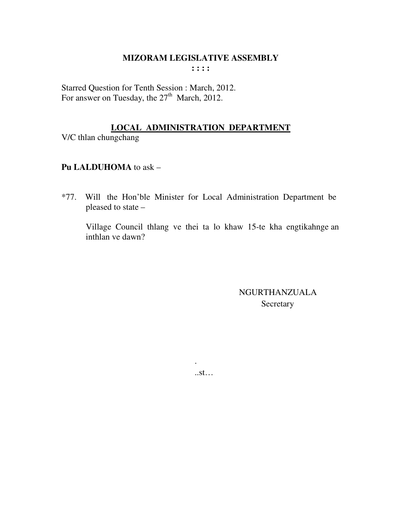Starred Question for Tenth Session : March, 2012. For answer on Tuesday, the  $27<sup>th</sup>$  March, 2012.

# **LOCAL ADMINISTRATION DEPARTMENT**

V/C thlan chungchang

# Pu LALDUHOMA to ask -

\*77. Will the Hon'ble Minister for Local Administration Department be pleased to state -

Village Council thlang ve thei ta lo khaw 15-te kha engtikahnge an inthlan ve dawn?

> NGURTHANZUALA Secretary

 $..st...$ 

 $\ddot{\phantom{a}}$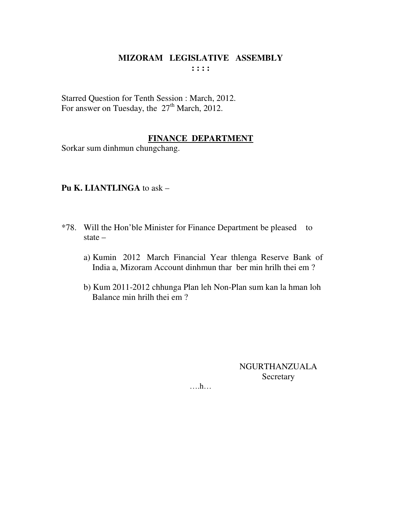Starred Question for Tenth Session : March, 2012. For answer on Tuesday, the  $27<sup>th</sup>$  March, 2012.

# **FINANCE DEPARTMENT**

Sorkar sum dinhmun chungchang.

#### **Pu K. LIANTLINGA** to ask –

- \*78. Will the Hon'ble Minister for Finance Department be pleased to state –
	- a) Kumin 2012 March Financial Year thlenga Reserve Bank of India a, Mizoram Account dinhmun thar ber min hrilh thei em ?
	- b) Kum 2011-2012 chhunga Plan leh Non-Plan sum kan la hman loh Balance min hrilh thei em ?

NGURTHANZUALA Secretary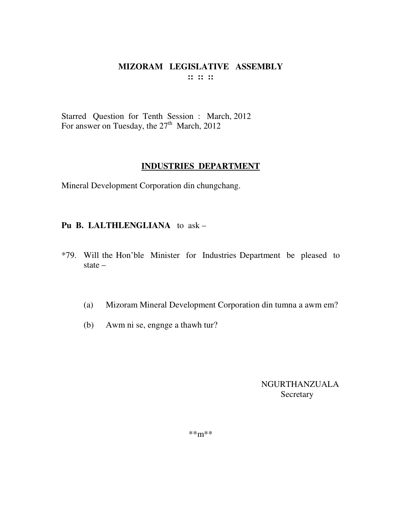Starred Question for Tenth Session : March, 2012 For answer on Tuesday, the  $27<sup>th</sup>$  March, 2012

#### **INDUSTRIES DEPARTMENT**

Mineral Development Corporation din chungchang.

# **Pu B. LALTHLENGLIANA** to ask –

- \*79. Will the Hon'ble Minister for Industries Department be pleased to state –
	- (a) Mizoram Mineral Development Corporation din tumna a awm em?
	- (b) Awm ni se, engnge a thawh tur?

NGURTHANZUALA Secretary